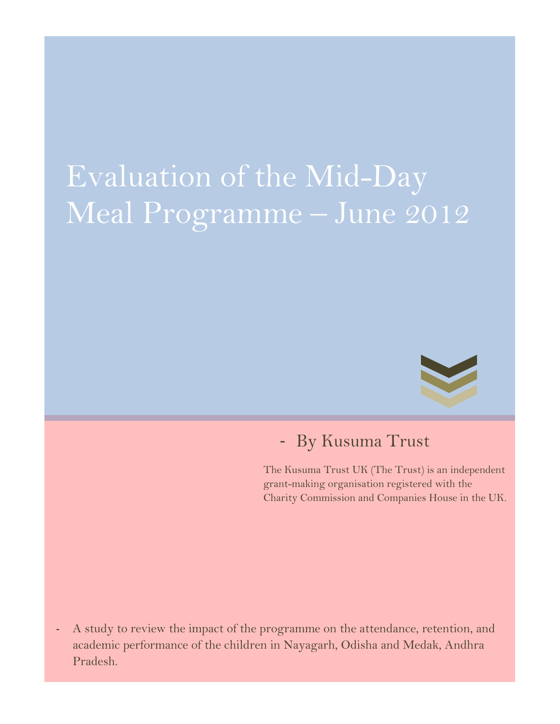# Evaluation of the Mid-Day Meal Programme – June 2012



## - By Kusuma Trust

The Kusuma Trust UK (The Trust) is an independent grant-making organisation registered with the Charity Commission and Companies House in the UK.

- A study to review the impact of the programme on the attendance, retention, and academic performance of the children in Nayagarh, Odisha and Medak, Andhra Pradesh.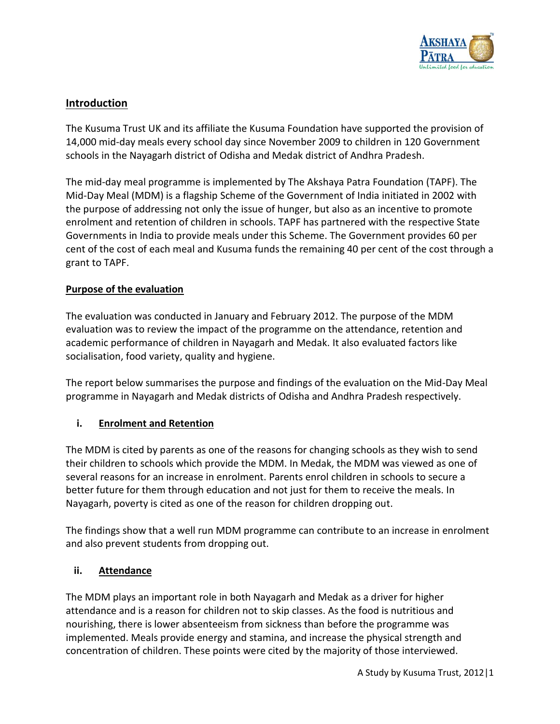

### **Introduction**

The Kusuma Trust UK and its affiliate the Kusuma Foundation have supported the provision of 14,000 mid-day meals every school day since November 2009 to children in 120 Government schools in the Nayagarh district of Odisha and Medak district of Andhra Pradesh.

The mid-day meal programme is implemented by The Akshaya Patra Foundation (TAPF). The Mid-Day Meal (MDM) is a flagship Scheme of the Government of India initiated in 2002 with the purpose of addressing not only the issue of hunger, but also as an incentive to promote enrolment and retention of children in schools. TAPF has partnered with the respective State Governments in India to provide meals under this Scheme. The Government provides 60 per cent of the cost of each meal and Kusuma funds the remaining 40 per cent of the cost through a grant to TAPF.

#### **Purpose of the evaluation**

The evaluation was conducted in January and February 2012. The purpose of the MDM evaluation was to review the impact of the programme on the attendance, retention and academic performance of children in Nayagarh and Medak. It also evaluated factors like socialisation, food variety, quality and hygiene.

The report below summarises the purpose and findings of the evaluation on the Mid-Day Meal programme in Nayagarh and Medak districts of Odisha and Andhra Pradesh respectively.

#### **i. Enrolment and Retention**

The MDM is cited by parents as one of the reasons for changing schools as they wish to send their children to schools which provide the MDM. In Medak, the MDM was viewed as one of several reasons for an increase in enrolment. Parents enrol children in schools to secure a better future for them through education and not just for them to receive the meals. In Nayagarh, poverty is cited as one of the reason for children dropping out.

The findings show that a well run MDM programme can contribute to an increase in enrolment and also prevent students from dropping out.

#### **ii. Attendance**

The MDM plays an important role in both Nayagarh and Medak as a driver for higher attendance and is a reason for children not to skip classes. As the food is nutritious and nourishing, there is lower absenteeism from sickness than before the programme was implemented. Meals provide energy and stamina, and increase the physical strength and concentration of children. These points were cited by the majority of those interviewed.